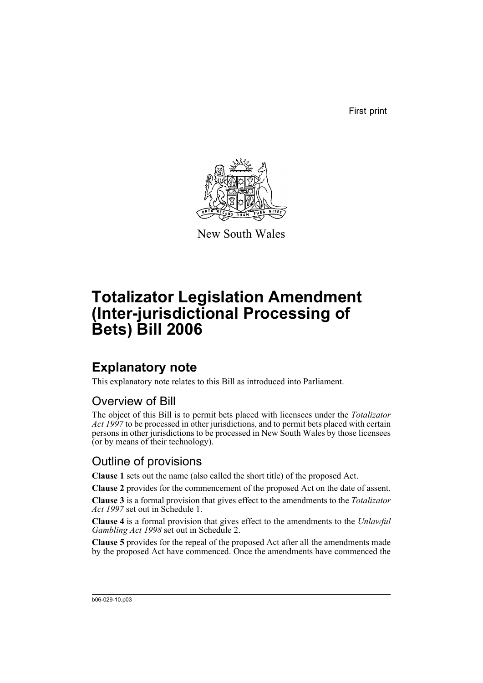First print



New South Wales

# **Totalizator Legislation Amendment (Inter-jurisdictional Processing of Bets) Bill 2006**

## **Explanatory note**

This explanatory note relates to this Bill as introduced into Parliament.

### Overview of Bill

The object of this Bill is to permit bets placed with licensees under the *Totalizator Act 1997* to be processed in other jurisdictions, and to permit bets placed with certain persons in other jurisdictions to be processed in New South Wales by those licensees (or by means of their technology).

### Outline of provisions

**Clause 1** sets out the name (also called the short title) of the proposed Act.

**Clause 2** provides for the commencement of the proposed Act on the date of assent.

**Clause 3** is a formal provision that gives effect to the amendments to the *Totalizator Act 1997* set out in Schedule 1.

**Clause 4** is a formal provision that gives effect to the amendments to the *Unlawful Gambling Act 1998* set out in Schedule 2.

**Clause 5** provides for the repeal of the proposed Act after all the amendments made by the proposed Act have commenced. Once the amendments have commenced the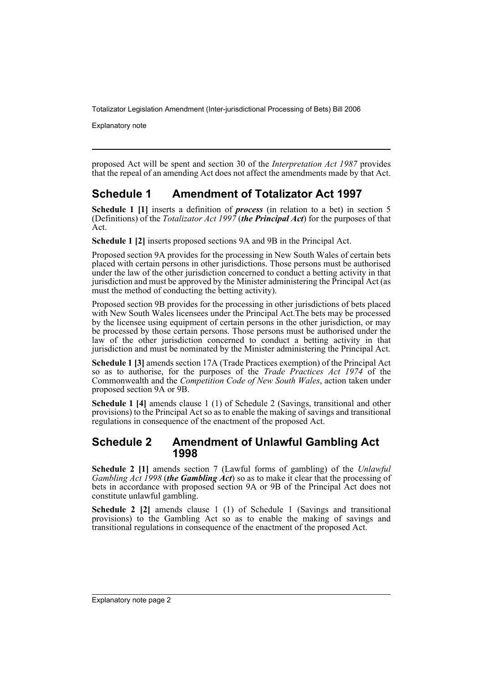Explanatory note

proposed Act will be spent and section 30 of the *Interpretation Act 1987* provides that the repeal of an amending Act does not affect the amendments made by that Act.

### **Schedule 1 Amendment of Totalizator Act 1997**

**Schedule 1 [1]** inserts a definition of *process* (in relation to a bet) in section 5 (Definitions) of the *Totalizator Act 1997* (*the Principal Act*) for the purposes of that Act.

**Schedule 1 [2]** inserts proposed sections 9A and 9B in the Principal Act.

Proposed section 9A provides for the processing in New South Wales of certain bets placed with certain persons in other jurisdictions. Those persons must be authorised under the law of the other jurisdiction concerned to conduct a betting activity in that jurisdiction and must be approved by the Minister administering the Principal Act (as must the method of conducting the betting activity).

Proposed section 9B provides for the processing in other jurisdictions of bets placed with New South Wales licensees under the Principal Act.The bets may be processed by the licensee using equipment of certain persons in the other jurisdiction, or may be processed by those certain persons. Those persons must be authorised under the law of the other jurisdiction concerned to conduct a betting activity in that jurisdiction and must be nominated by the Minister administering the Principal Act.

**Schedule 1 [3]** amends section 17A (Trade Practices exemption) of the Principal Act so as to authorise, for the purposes of the *Trade Practices Act 1974* of the Commonwealth and the *Competition Code of New South Wales*, action taken under proposed section 9A or 9B.

**Schedule 1 [4]** amends clause 1 (1) of Schedule 2 (Savings, transitional and other provisions) to the Principal Act so as to enable the making of savings and transitional regulations in consequence of the enactment of the proposed Act.

#### **Schedule 2 Amendment of Unlawful Gambling Act 1998**

**Schedule 2 [1]** amends section 7 (Lawful forms of gambling) of the *Unlawful Gambling Act 1998* (*the Gambling Act*) so as to make it clear that the processing of bets in accordance with proposed section 9A or 9B of the Principal Act does not constitute unlawful gambling.

**Schedule 2 [2]** amends clause 1 (1) of Schedule 1 (Savings and transitional provisions) to the Gambling Act so as to enable the making of savings and transitional regulations in consequence of the enactment of the proposed Act.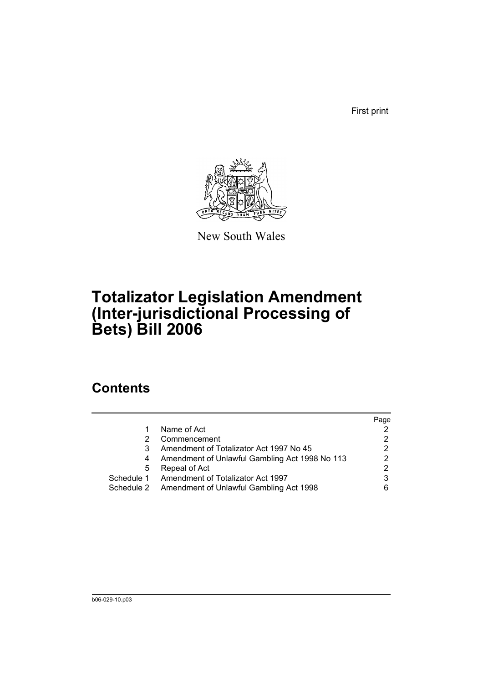First print



New South Wales

# **Totalizator Legislation Amendment (Inter-jurisdictional Processing of Bets) Bill 2006**

## **Contents**

|            |                                                | Page |
|------------|------------------------------------------------|------|
|            | Name of Act                                    |      |
|            | Commencement                                   | 2    |
|            | Amendment of Totalizator Act 1997 No 45        | 2    |
|            | Amendment of Unlawful Gambling Act 1998 No 113 | 2    |
| 5          | Repeal of Act                                  | 2    |
|            | Schedule 1 Amendment of Totalizator Act 1997   | 3    |
| Schedule 2 | Amendment of Unlawful Gambling Act 1998        | 6    |
|            |                                                |      |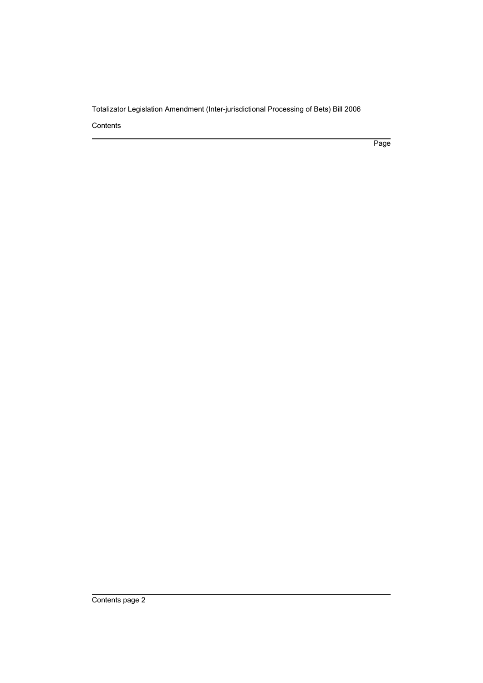Contents

Page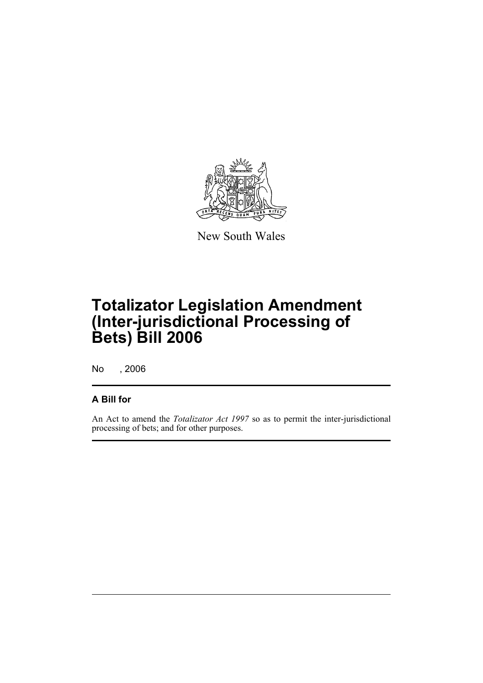

New South Wales

# **Totalizator Legislation Amendment (Inter-jurisdictional Processing of Bets) Bill 2006**

No , 2006

#### **A Bill for**

An Act to amend the *Totalizator Act 1997* so as to permit the inter-jurisdictional processing of bets; and for other purposes.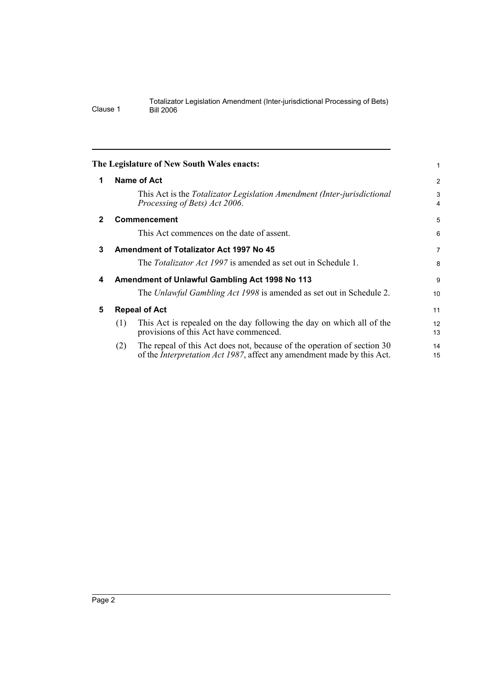|              |                      | The Legislature of New South Wales enacts:                                                                                                                | 1              |
|--------------|----------------------|-----------------------------------------------------------------------------------------------------------------------------------------------------------|----------------|
| 1            |                      | Name of Act                                                                                                                                               | $\overline{2}$ |
|              |                      | This Act is the Totalizator Legislation Amendment (Inter-jurisdictional<br>Processing of Bets) Act 2006.                                                  | 3<br>4         |
| $\mathbf{2}$ |                      | <b>Commencement</b>                                                                                                                                       | 5              |
|              |                      | This Act commences on the date of assent.                                                                                                                 | 6              |
| 3            |                      | <b>Amendment of Totalizator Act 1997 No 45</b>                                                                                                            | 7              |
|              |                      | The <i>Totalizator Act 1997</i> is amended as set out in Schedule 1.                                                                                      | 8              |
| 4            |                      | <b>Amendment of Unlawful Gambling Act 1998 No 113</b>                                                                                                     | 9              |
|              |                      | The Unlawful Gambling Act 1998 is amended as set out in Schedule 2.                                                                                       | 10             |
| 5            | <b>Repeal of Act</b> |                                                                                                                                                           |                |
|              | (1)                  | This Act is repealed on the day following the day on which all of the<br>provisions of this Act have commenced.                                           | 12<br>13       |
|              | (2)                  | The repeal of this Act does not, because of the operation of section 30<br>of the <i>Interpretation Act 1987</i> , affect any amendment made by this Act. | 14<br>15       |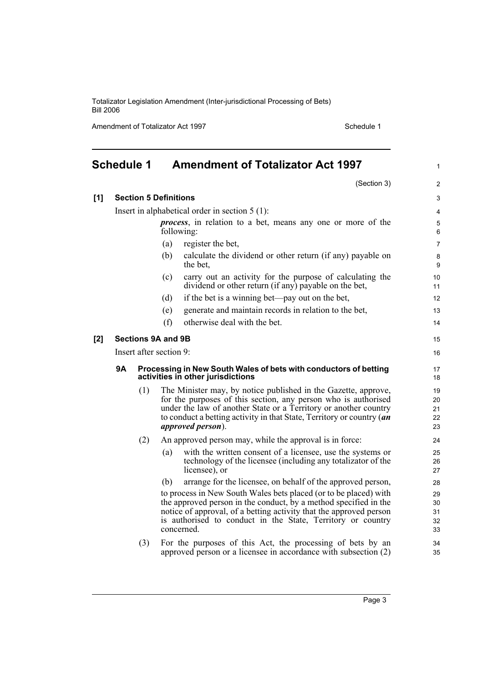Amendment of Totalizator Act 1997 Schedule 1

(Section 3)

1

2

### **Schedule 1 Amendment of Totalizator Act 1997**

| [1] |                                                  | <b>Section 5 Definitions</b> |     |                                                                                                                                                                                                                                                                                                            | 3                          |
|-----|--------------------------------------------------|------------------------------|-----|------------------------------------------------------------------------------------------------------------------------------------------------------------------------------------------------------------------------------------------------------------------------------------------------------------|----------------------------|
|     | Insert in alphabetical order in section $5(1)$ : |                              |     |                                                                                                                                                                                                                                                                                                            | 4                          |
|     |                                                  |                              |     | <i>process</i> , in relation to a bet, means any one or more of the<br>following:                                                                                                                                                                                                                          | 5<br>6                     |
|     |                                                  |                              | (a) | register the bet,                                                                                                                                                                                                                                                                                          | 7                          |
|     |                                                  |                              | (b) | calculate the dividend or other return (if any) payable on<br>the bet,                                                                                                                                                                                                                                     | 8<br>9                     |
|     |                                                  |                              | (c) | carry out an activity for the purpose of calculating the<br>dividend or other return (if any) payable on the bet,                                                                                                                                                                                          | 10<br>11                   |
|     |                                                  |                              | (d) | if the bet is a winning bet—pay out on the bet,                                                                                                                                                                                                                                                            | 12                         |
|     |                                                  |                              | (e) | generate and maintain records in relation to the bet,                                                                                                                                                                                                                                                      | 13                         |
|     |                                                  |                              | (f) | otherwise deal with the bet.                                                                                                                                                                                                                                                                               | 14                         |
| [2] |                                                  | <b>Sections 9A and 9B</b>    |     |                                                                                                                                                                                                                                                                                                            | 15                         |
|     |                                                  | Insert after section 9:      |     |                                                                                                                                                                                                                                                                                                            | 16                         |
|     | 9Α                                               |                              |     | Processing in New South Wales of bets with conductors of betting<br>activities in other jurisdictions                                                                                                                                                                                                      | 17<br>18                   |
|     |                                                  | (1)                          |     | The Minister may, by notice published in the Gazette, approve,<br>for the purposes of this section, any person who is authorised<br>under the law of another State or a Territory or another country<br>to conduct a betting activity in that State, Territory or country (an<br><i>approved person</i> ). | 19<br>20<br>21<br>22<br>23 |
|     |                                                  | (2)                          |     | An approved person may, while the approval is in force:                                                                                                                                                                                                                                                    | 24                         |
|     |                                                  |                              | (a) | with the written consent of a licensee, use the systems or<br>technology of the licensee (including any totalizator of the<br>licensee), or                                                                                                                                                                | 25<br>26<br>27             |
|     |                                                  |                              | (b) | arrange for the licensee, on behalf of the approved person,                                                                                                                                                                                                                                                | 28                         |
|     |                                                  |                              |     | to process in New South Wales bets placed (or to be placed) with<br>the approved person in the conduct, by a method specified in the<br>notice of approval, of a betting activity that the approved person<br>is authorised to conduct in the State, Territory or country<br>concerned.                    | 29<br>30<br>31<br>32<br>33 |
|     |                                                  | (3)                          |     | For the purposes of this Act, the processing of bets by an<br>approved person or a licensee in accordance with subsection (2)                                                                                                                                                                              | 34<br>35                   |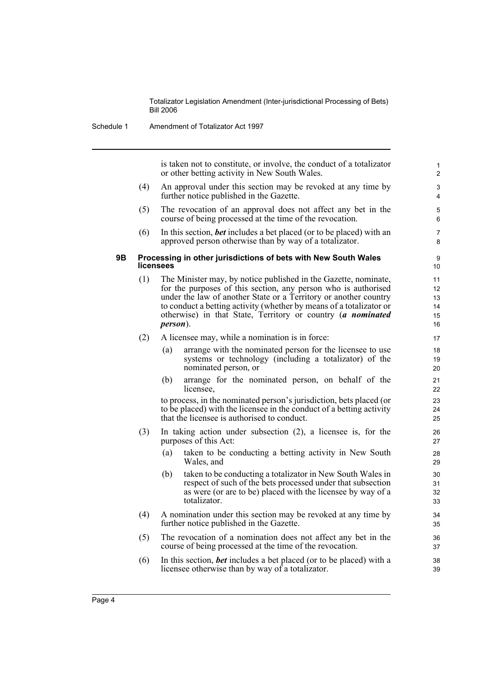is taken not to constitute, or involve, the conduct of a totalizator or other betting activity in New South Wales. (4) An approval under this section may be revoked at any time by further notice published in the Gazette. (5) The revocation of an approval does not affect any bet in the course of being processed at the time of the revocation. (6) In this section, *bet* includes a bet placed (or to be placed) with an approved person otherwise than by way of a totalizator. **9B Processing in other jurisdictions of bets with New South Wales licensees**  (1) The Minister may, by notice published in the Gazette, nominate, for the purposes of this section, any person who is authorised under the law of another State or a Territory or another country to conduct a betting activity (whether by means of a totalizator or otherwise) in that State, Territory or country (*a nominated person*). (2) A licensee may, while a nomination is in force: (a) arrange with the nominated person for the licensee to use systems or technology (including a totalizator) of the nominated person, or (b) arrange for the nominated person, on behalf of the licensee, to process, in the nominated person's jurisdiction, bets placed (or to be placed) with the licensee in the conduct of a betting activity that the licensee is authorised to conduct. (3) In taking action under subsection (2), a licensee is, for the purposes of this Act: (a) taken to be conducting a betting activity in New South Wales, and (b) taken to be conducting a totalizator in New South Wales in respect of such of the bets processed under that subsection as were (or are to be) placed with the licensee by way of a totalizator. (4) A nomination under this section may be revoked at any time by further notice published in the Gazette. (5) The revocation of a nomination does not affect any bet in the course of being processed at the time of the revocation. (6) In this section, *bet* includes a bet placed (or to be placed) with a licensee otherwise than by way of a totalizator. 1  $\overline{2}$ 3 4 5 6 7 8 9 10 11 12 13 14 15 16 17 18 19 20 21 22 23 24 25 26 27 28 29 30 31 32 33 34 35 36 37 38 39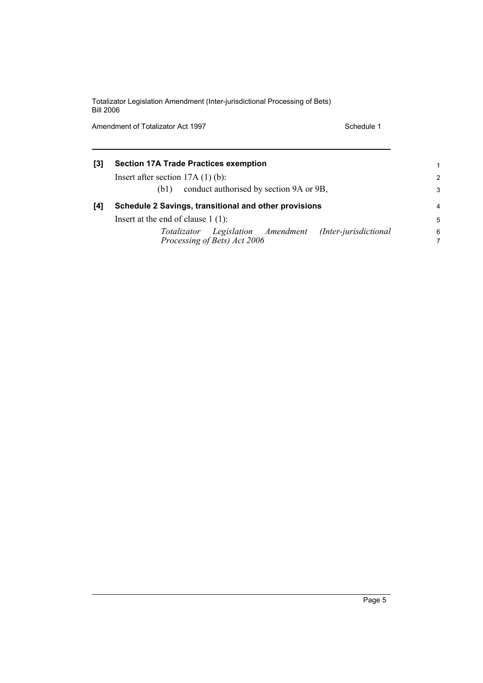Amendment of Totalizator Act 1997 Schedule 1

| $[3]$ | <b>Section 17A Trade Practices exemption</b>                                            |                |  |
|-------|-----------------------------------------------------------------------------------------|----------------|--|
|       | Insert after section $17A(1)(b)$ :                                                      | $\mathcal{P}$  |  |
|       | conduct authorised by section 9A or 9B,<br>(b1)                                         | 3              |  |
| [4]   | Schedule 2 Savings, transitional and other provisions                                   | $\overline{a}$ |  |
|       | Insert at the end of clause $1(1)$ :                                                    | 5              |  |
|       | Totalizator Legislation Amendment (Inter-jurisdictional<br>Processing of Bets) Act 2006 | 6<br>7         |  |